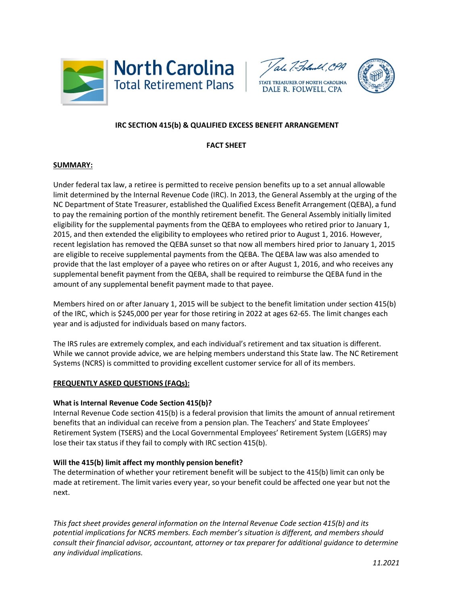





# **IRC SECTION 415(b) & QUALIFIED EXCESS BENEFIT ARRANGEMENT**

## **FACT SHEET**

### **SUMMARY:**

Under federal tax law, a retiree is permitted to receive pension benefits up to a set annual allowable limit determined by the Internal Revenue Code (IRC). In 2013, the General Assembly at the urging of the NC Department of State Treasurer, established the Qualified Excess Benefit Arrangement (QEBA), a fund to pay the remaining portion of the monthly retirement benefit. The General Assembly initially limited eligibility for the supplemental payments from the QEBA to employees who retired prior to January 1, 2015, and then extended the eligibility to employees who retired prior to August 1, 2016. However, recent legislation has removed the QEBA sunset so that now all members hired prior to January 1, 2015 are eligible to receive supplemental payments from the QEBA. The QEBA law was also amended to provide that the last employer of a payee who retires on or after August 1, 2016, and who receives any supplemental benefit payment from the QEBA, shall be required to reimburse the QEBA fund in the amount of any supplemental benefit payment made to that payee.

Members hired on or after January 1, 2015 will be subject to the benefit limitation under section 415(b) of the IRC, which is \$245,000 per year for those retiring in 2022 at ages 62-65. The limit changes each year and is adjusted for individuals based on many factors.

The IRS rules are extremely complex, and each individual's retirement and tax situation is different. While we cannot provide advice, we are helping members understand this State law. The NC Retirement Systems (NCRS) is committed to providing excellent customer service for all of its members.

#### **FREQUENTLY ASKED QUESTIONS (FAQs):**

#### **What is Internal Revenue Code Section 415(b)?**

Internal Revenue Code section 415(b) is a federal provision that limits the amount of annual retirement benefits that an individual can receive from a pension plan. The Teachers' and State Employees' Retirement System (TSERS) and the Local Governmental Employees' Retirement System (LGERS) may lose their tax status if they fail to comply with IRC section 415(b).

## **Will the 415(b) limit affect my monthly pension benefit?**

The determination of whether your retirement benefit will be subject to the 415(b) limit can only be made at retirement. The limit varies every year, so your benefit could be affected one year but not the next.

*This fact sheet provides general information on the Internal Revenue Code section 415(b) and its potential implications for NCRS members. Each member's situation is different, and members should consult their financial advisor, accountant, attorney or tax preparer for additional guidance to determine any individual implications.*